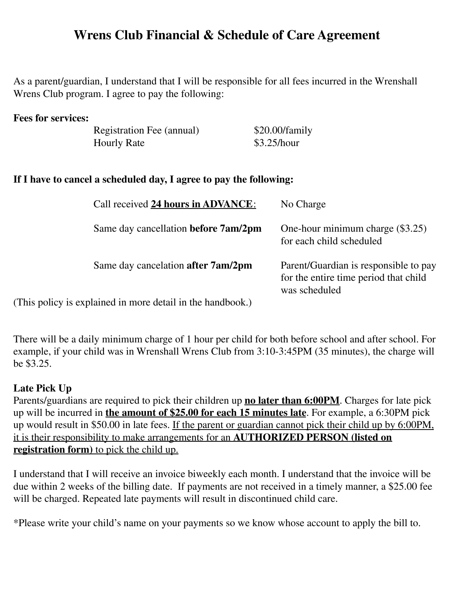## **Wrens Club Financial & Schedule of Care Agreement**

As a parent/guardian, I understand that I will be responsible for all fees incurred in the Wrenshall Wrens Club program. I agree to pay the following:

| <b>Fees for services:</b> |                           |                |
|---------------------------|---------------------------|----------------|
|                           | Registration Fee (annual) | \$20.00/family |
|                           | <b>Hourly Rate</b>        | \$3.25/hour    |

## **If I have to cancel a scheduled day, I agree to pay the following:**

| Call received 24 hours in ADVANCE:                    | No Charge                                                                                       |
|-------------------------------------------------------|-------------------------------------------------------------------------------------------------|
| Same day cancellation before 7am/2pm                  | One-hour minimum charge (\$3.25)<br>for each child scheduled                                    |
| Same day cancelation after 7am/2pm                    | Parent/Guardian is responsible to pay<br>for the entire time period that child<br>was scheduled |
| $\alpha$ and $\alpha$ is more detail in the handhool. |                                                                                                 |

(This policy is explained in more detail in the handbook.)

There will be a daily minimum charge of 1 hour per child for both before school and after school. For example, if your child was in Wrenshall Wrens Club from 3:10-3:45PM (35 minutes), the charge will be \$3.25.

## **Late Pick Up**

Parents/guardians are required to pick their children up **no later than 6:00PM**. Charges for late pick up will be incurred in **the amount of \$25.00 for each 15 minutes late**. For example, a 6:30PM pick up would result in \$50.00 in late fees. If the parent or guardian cannot pick their child up by 6:00PM, it is their responsibility to make arrangements for an **AUTHORIZED PERSON (listed on registration form)** to pick the child up.

I understand that I will receive an invoice biweekly each month. I understand that the invoice will be due within 2 weeks of the billing date. If payments are not received in a timely manner, a \$25.00 fee will be charged. Repeated late payments will result in discontinued child care.

\*Please write your child's name on your payments so we know whose account to apply the bill to.